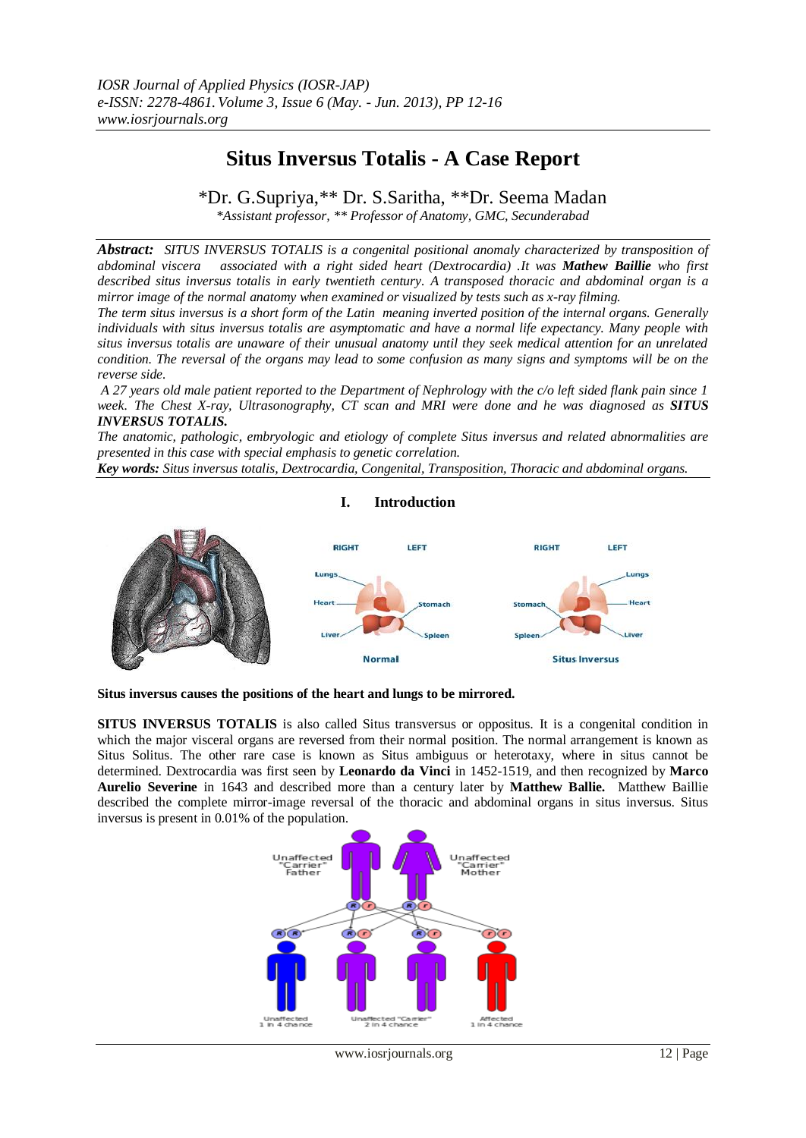# **Situs Inversus Totalis - A Case Report**

\*Dr. G.Supriya,\*\* Dr. S.Saritha, \*\*Dr. Seema Madan

*\*Assistant professor, \*\* Professor of Anatomy, GMC, Secunderabad*

*Abstract: SITUS INVERSUS TOTALIS is a congenital positional anomaly characterized by transposition of abdominal viscera associated with a right sided heart (Dextrocardia) .It was Mathew Baillie who first described situs inversus totalis in early twentieth century. A transposed thoracic and abdominal organ is a mirror image of the normal anatomy when examined or visualized by tests such as x-ray filming.*

*The term situs inversus is a short form of the Latin meaning inverted position of the internal organs. Generally individuals with situs inversus totalis are asymptomatic and have a normal life expectancy. Many people with situs inversus totalis are unaware of their unusual anatomy until they seek medical attention for an unrelated condition. The reversal of the organs may lead to some confusion as many signs and symptoms will be on the reverse side.* 

*A 27 years old male patient reported to the Department of Nephrology with the c/o left sided flank pain since 1 week. The Chest X-ray, Ultrasonography, CT scan and MRI were done and he was diagnosed as SITUS INVERSUS TOTALIS.*

*The anatomic, pathologic, embryologic and etiology of complete Situs inversus and related abnormalities are presented in this case with special emphasis to genetic correlation.* 

*Key words: Situs inversus totalis, Dextrocardia, Congenital, Transposition, Thoracic and abdominal organs.*



## **I. Introduction**

**Situs inversus causes the positions of the [heart](http://en.wikipedia.org/wiki/Heart) and [lungs](http://en.wikipedia.org/wiki/Lungs) to be mirrored.**

**SITUS INVERSUS TOTALIS** is also called Situs transversus or oppositus. It is a congenital condition in which the major visceral organs are reversed from their normal position. The normal arrangement is known as Situs Solitus. The other rare case is known as Situs ambiguus or heterotaxy, where in situs cannot be determined. Dextrocardia was first seen by **Leonardo da Vinci** in 1452-1519, and then recognized by **Marco Aurelio Severine** in 1643 and described more than a century later by **Matthew Ballie.** Matthew Baillie described the complete mirror-image reversal of the thoracic and abdominal organs in situs inversus. Situs inversus is present in 0.01% of the population.

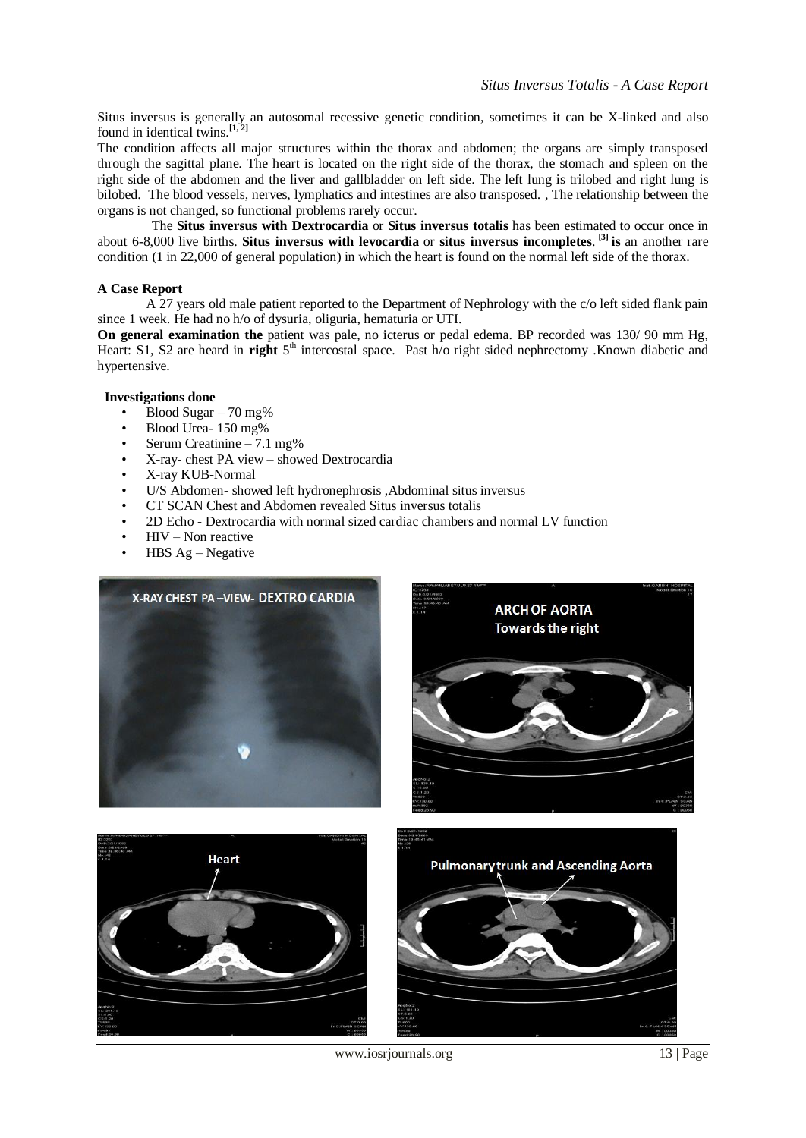Situs inversus is generally an [autosomal recessive](http://en.wikipedia.org/wiki/Recessive_gene) [genetic](http://en.wikipedia.org/wiki/Genetics) condition, sometimes it can be [X-linked](http://en.wikipedia.org/wiki/X-linked) and also found in identical [twins.](http://en.wikipedia.org/wiki/Twins) **[\[1, 2\]](http://en.wikipedia.org/wiki/Situs_inversus#cite_note-2)**

The condition affects all major structures within the thorax and abdomen; the organs are simply transposed through the sagittal plane. The heart is located on the right side of the thorax, the stomach and spleen on the right side of the abdomen and the liver and gallbladder on left side. The left lung is trilobed and right lung is bilobed. The blood vessels, nerves, lymphatics and intestines are also transposed. , The relationship between the organs is not changed, so functional problems rarely occur.

 The **Situs inversus with [Dextrocardia](http://en.wikipedia.org/wiki/Dextrocardia)** or **Situs inversus totalis** has been estimated to occur once in about 6-8,000 live births. **Situs inversus with [levocardia](http://en.wikipedia.org/wiki/Levocardia)** or **situs inversus incompletes**. **[3] is** an another rare condition (1 in 22,000 of general population) in which the heart is found on the normal left side of the thorax.

#### **A Case Report**

A 27 years old male patient reported to the Department of Nephrology with the c/o left sided flank pain since 1 week. He had no h/o of dysuria, oliguria, hematuria or UTI.

**On general examination the** patient was pale, no icterus or pedal edema. BP recorded was 130/ 90 mm Hg, Heart: S1, S2 are heard in **right** 5<sup>th</sup> intercostal space. Past h/o right sided nephrectomy .Known diabetic and hypertensive.

### **Investigations done**

- Blood Sugar 70 mg%
- Blood Urea- 150 mg%
- Serum Creatinine 7.1 mg%
- X-ray- chest PA view showed Dextrocardia
- X-ray KUB-Normal
- U/S Abdomen- showed left hydronephrosis ,Abdominal situs inversus
- CT SCAN Chest and Abdomen revealed Situs inversus totalis
- 2D Echo Dextrocardia with normal sized cardiac chambers and normal LV function
- HIV Non reactive
- HBS Ag Negative









www.iosrjournals.org 13 | Page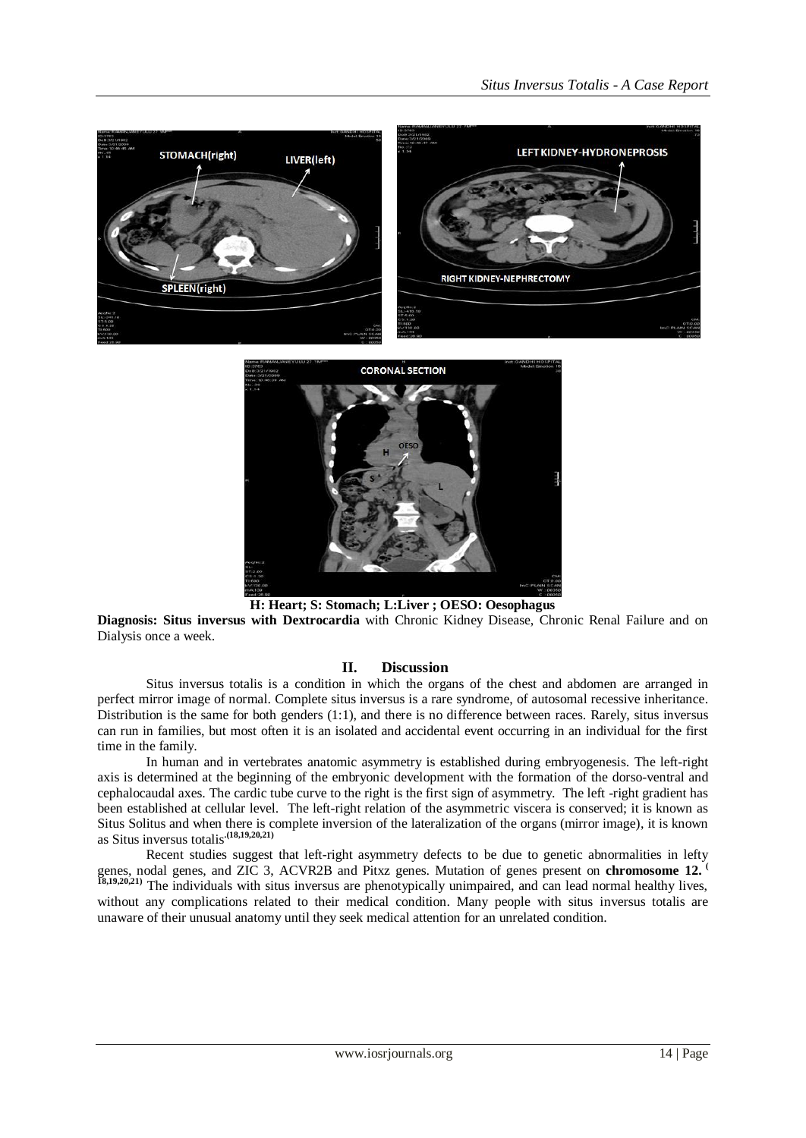



**H: Heart; S: Stomach; L:Liver ; OESO: Oesophagus**

**Diagnosis: Situs inversus with [Dextrocardia](http://en.wikipedia.org/wiki/Dextrocardia)** with Chronic Kidney Disease, Chronic Renal Failure and on Dialysis once a week.

### **II. Discussion**

Situs inversus totalis is a condition in which the organs of the chest and abdomen are arranged in perfect mirror image of normal. Complete situs inversus is a rare syndrome, of autosomal recessive inheritance. Distribution is the same for both genders (1:1), and there is no difference between races. Rarely, situs inversus can run in families, but most often it is an isolated and accidental event occurring in an individual for the first time in the family.

In human and in vertebrates anatomic asymmetry is established during embryogenesis. The left-right axis is determined at the beginning of the embryonic development with the formation of the dorso-ventral and cephalocaudal axes. The cardic tube curve to the right is the first sign of asymmetry. The left -right gradient has been established at cellular level. The left-right relation of the asymmetric viscera is conserved; it is known as Situs Solitus and when there is complete inversion of the lateralization of the organs (mirror image), it is known as Situs inversus totalis**.(18,19,20,21)**

Recent studies suggest that left-right asymmetry defects to be due to genetic abnormalities in lefty genes, nodal genes, and ZIC 3, ACVR2B and Pitxz genes. Mutation of genes present on **chromosome 12. ( 18,19,20,21)** The individuals with situs inversus are [phenotypically](http://en.wikipedia.org/wiki/Phenotype) unimpaired, and can lead normal healthy lives, without any complications related to their medical condition. Many people with situs inversus totalis are unaware of their unusual anatomy until they seek medical attention for an unrelated condition.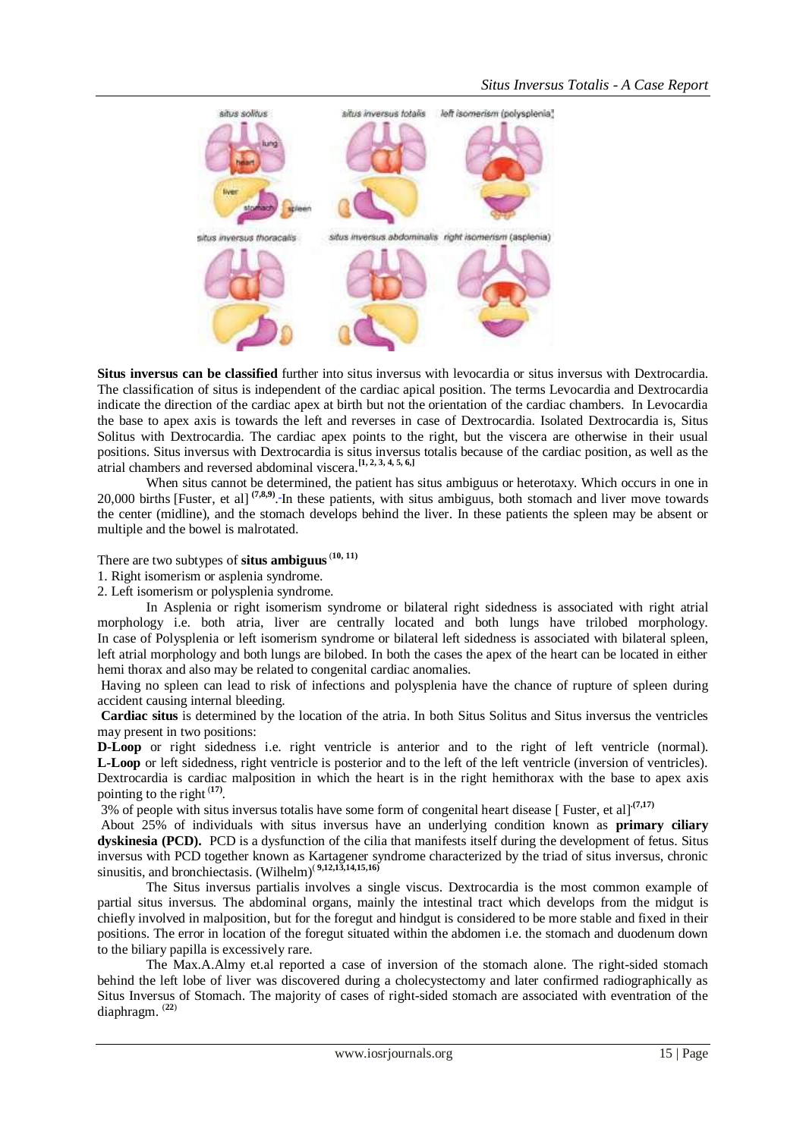

**Situs inversus can be classified** further into situs inversus with levocardia or situs inversus with Dextrocardia. The classification of situs is independent of the cardiac apical position. The terms Levocardia and Dextrocardia indicate the direction of the cardiac apex at birth but not the orientation of the cardiac chambers. In Levocardia the base to apex axis is towards the left and reverses in case of Dextrocardia. Isolated Dextrocardia is, Situs Solitus with Dextrocardia. The cardiac apex points to the right, but the viscera are otherwise in their usual positions. Situs inversus with Dextrocardia is situs inversus totalis because of the cardiac position, as well as the atrial chambers and reversed abdominal viscera.**[\[1, 2, 3, 4, 5, 6,\]](javascript:showrefcontent()**

When situs cannot be determined, the patient has situs ambiguus or heterotaxy. Which [occurs in](javascript:showrefcontent() one in 20,000 births [\[Fuster, et al\]](javascript:showrefcontent()<sup>(7,8,9)</sup>. In these patients, with situs ambiguus, both stomach and liver move towards the center (midline), and the stomach develops behind the liver. In these patients the spleen may be absent or multiple and the bowel is malrotated.

There are two subtypes of **situs ambiguus**(**10, 11)**

1. Right isomerism or asplenia syndrome.

2. Left isomerism or polysplenia syndrome.

In Asplenia or right isomerism syndrome or bilateral right sidedness is associated with right atrial morphology i.e. both atria, liver are centrally located and both lungs have trilobed morphology. In case of Polysplenia or left isomerism syndrome or bilateral left sidedness is associated with bilateral spleen, left atrial morphology and both lungs are bilobed. In both the cases the apex of the heart can be located in either hemi thorax and also may be related to congenital cardiac anomalies.

Having no spleen can lead to risk of infections and polysplenia have the chance of rupture of spleen during accident causing internal bleeding.

**Cardiac situs** is determined by the location of the atria. In both Situs Solitus and Situs inversus the ventricles may present in two positions:

**D-Loop** or right sidedness i.e. right ventricle is anterior and to the right of left ventricle (normal). **L-Loop** or left sidedness, right ventricle is posterior and to the left of the left ventricle (inversion of ventricles). Dextrocardia is cardiac malposition in which the heart is in the right hemithorax with the base to apex axis pointing to the right (**17)** .

3% of people with situs inversus totalis have some form of [congenital heart disease](http://healthguide.howstuffworks.com/congenital-heart-disease-dictionary.htm) [ [Fuster, et al\]](http://science.howstuffworks.com/life/human-biology/reversal-of-organ2.htm#fuster) **.(7,17)**

About 25% of individuals with situs inversus have an underlying condition known as **[primary ciliary](http://en.wikipedia.org/wiki/Primary_ciliary_dyskinesia)  [dyskinesia](http://en.wikipedia.org/wiki/Primary_ciliary_dyskinesia) (PCD).** PCD is a dysfunction of the [cilia](http://en.wikipedia.org/wiki/Cilium) that manifests itself during the development of fetus. Situs inversus with PCD together known as Kartagener syndrome characterized by the triad of situs inversus, chronic [sinusitis,](http://en.wikipedia.org/wiki/Sinusitis) an[d bronchiectasis.](http://en.wikipedia.org/wiki/Bronchiectasis) [\(Wilhelm\)](http://www.emedicine.com/radio/topic639.htm) ( **9,12,13,14,15,16)**

The Situs inversus partialis involves a single viscus. Dextrocardia is the most common example of partial situs inversus. The abdominal organs, mainly the intestinal tract which develops from the midgut is chiefly involved in malposition, but for the foregut and hindgut is considered to be more stable and fixed in their positions. The error in location of the foregut situated within the abdomen i.e. the stomach and duodenum down to the biliary papilla is excessively rare.

The Max.A.Almy et.al reported a case of inversion of the stomach alone. The right-sided stomach behind the left lobe of liver was discovered during a cholecystectomy and later confirmed radiographically as Situs Inversus of Stomach. The majority of cases of right-sided stomach are associated with eventration of the diaphragm. (**22**)